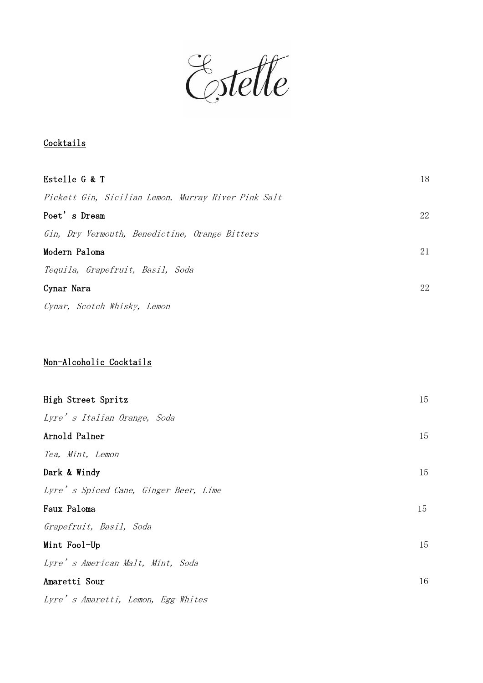Estelle

## **Cocktails**

| Estelle G & T                                       | 18 |
|-----------------------------------------------------|----|
| Pickett Gin, Sicilian Lemon, Murray River Pink Salt |    |
| Poet's Dream                                        | 22 |
| Gin, Dry Vermouth, Benedictine, Orange Bitters      |    |
| Modern Paloma                                       | 21 |
| Tequila, Grapefruit, Basil, Soda                    |    |
| Cynar Nara                                          | 22 |
| Cynar, Scotch Whisky, Lemon                         |    |
|                                                     |    |
|                                                     |    |
| Non-Alcoholic Cocktails                             |    |
|                                                     |    |
| High Street Spritz                                  | 15 |
| Lyre's Italian Orange, Soda                         |    |
| Arnold Palner                                       | 15 |
| Tea, Mint, Lemon                                    |    |
| Dark & Windy                                        | 15 |
| Lyre's Spiced Cane, Ginger Beer, Lime               |    |
| Faux Paloma                                         | 15 |
| Grapefruit, Basil, Soda                             |    |
| Mint Fool-Up                                        | 15 |
| Lyre's American Malt, Mint, Soda                    |    |
| Amaretti Sour                                       | 16 |
| Lyre's Amaretti, Lemon, Egg Whites                  |    |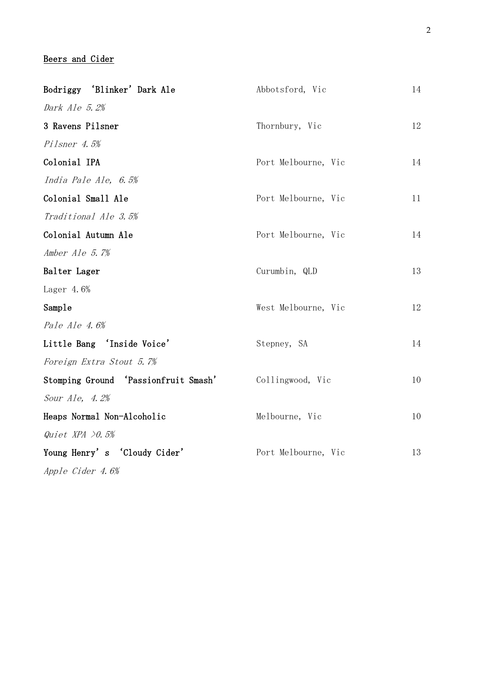#### Beers and Cider

| Bodriggy 'Blinker' Dark Ale          | Abbotsford, Vic     | 14 |
|--------------------------------------|---------------------|----|
| Dark Ale 5.2%                        |                     |    |
| 3 Ravens Pilsner                     | Thornbury, Vic      | 12 |
| Pilsner 4.5%                         |                     |    |
| Colonial IPA                         | Port Melbourne, Vic | 14 |
| India Pale Ale, 6.5%                 |                     |    |
| Colonial Small Ale                   | Port Melbourne, Vic | 11 |
| Traditional Ale 3.5%                 |                     |    |
| Colonial Autumn Ale                  | Port Melbourne, Vic | 14 |
| Amber Ale 5.7%                       |                     |    |
| Balter Lager                         | Curumbin, QLD       | 13 |
| Lager $4.6%$                         |                     |    |
| Sample                               | West Melbourne, Vic | 12 |
| Pale Ale 4.6%                        |                     |    |
| Little Bang 'Inside Voice'           | Stepney, SA         | 14 |
| Foreign Extra Stout 5.7%             |                     |    |
| Stomping Ground 'Passionfruit Smash' | Collingwood, Vic    | 10 |
| Sour Ale, 4.2%                       |                     |    |
| Heaps Normal Non-Alcoholic           | Melbourne, Vic      | 10 |
| Quiet XPA $\geq 0.5\%$               |                     |    |
| Young Henry's 'Cloudy Cider'         | Port Melbourne, Vic | 13 |
| Apple Cider 4.6%                     |                     |    |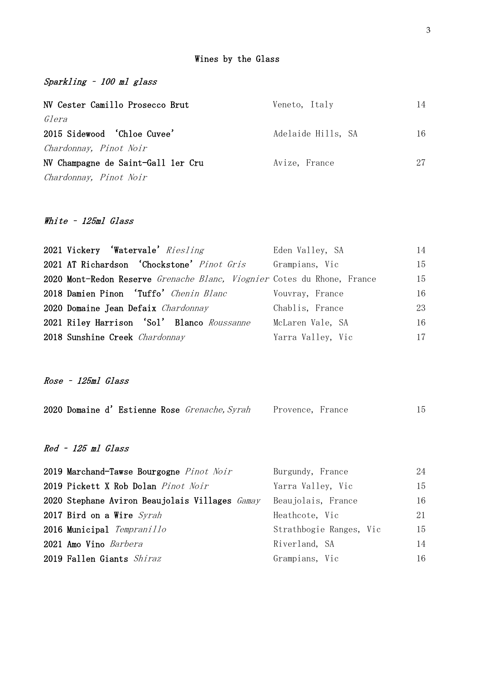#### Wines by the Glass

Sparkling – 100 ml glass

| NV Cester Camillo Prosecco Brut    | Veneto, Italy      | 14 |
|------------------------------------|--------------------|----|
| Glera                              |                    |    |
| 2015 Sidewood 'Chloe Cuvee'        | Adelaide Hills, SA | 16 |
| Chardonnay, Pinot Noir             |                    |    |
| NV Champagne de Saint-Gall ler Cru | Avize, France      | 27 |
| Chardonnay, Pinot Noir             |                    |    |

## White - 125ml Glass

| 2021 Vickery 'Watervale' Riesling                                       | Eden Valley, SA   | 14 |
|-------------------------------------------------------------------------|-------------------|----|
| 2021 AT Richardson 'Chockstone' Pinot Gris                              | Grampians, Vic    | 15 |
| 2020 Mont-Redon Reserve Grenache Blanc, Viognier Cotes du Rhone, France |                   | 15 |
| 2018 Damien Pinon 'Tuffo' Chenin Blanc                                  | Vouvray, France   | 16 |
| 2020 Domaine Jean Defaix Chardonnay                                     | Chablis, France   | 23 |
| 2021 Riley Harrison 'Sol' Blanco Roussanne                              | McLaren Vale, SA  | 16 |
| 2018 Sunshine Creek Chardonnay                                          | Yarra Valley, Vic | 17 |

Rose – 125ml Glass

| 2020 Domaine d'Estienne Rose Grenache, Syrah    | Provence, France        | 15 |
|-------------------------------------------------|-------------------------|----|
| Red - 125 ml Glass                              |                         |    |
| 2019 Marchand-Tawse Bourgogne <i>Pinot Noir</i> | Burgundy, France        | 24 |
| 2019 Pickett X Rob Dolan Pinot Noir             | Yarra Valley, Vic       | 15 |
| 2020 Stephane Aviron Beaujolais Villages Gamay  | Beaujolais, France      | 16 |
| 2017 Bird on a Wire Syrah                       | Heathcote, Vic          | 21 |
| 2016 Municipal Tempranillo                      | Strathbogie Ranges, Vic | 15 |
| 2021 Amo Vino Barbera                           | Riverland, SA           | 14 |

2019 Fallen Giants Shiraz Grampians, Vic 16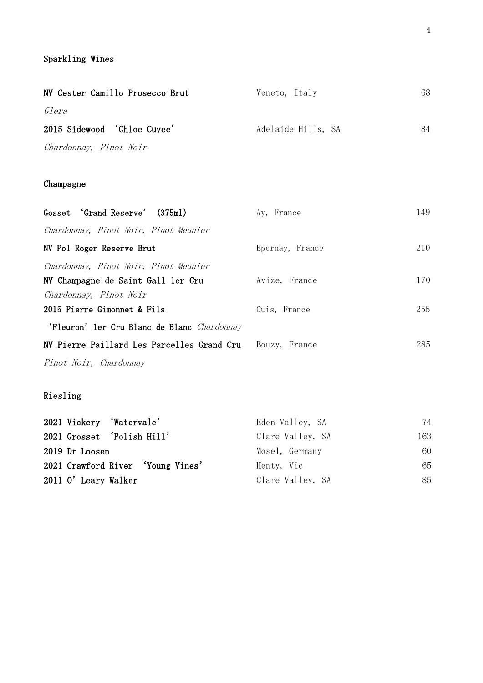#### Sparkling Wines

| NV Cester Camillo Prosecco Brut | Veneto, Italy      | 68 |
|---------------------------------|--------------------|----|
| Glera                           |                    |    |
| 2015 Sidewood 'Chloe Cuvee'     | Adelaide Hills, SA | 84 |
| Chardonnay, Pinot Noir          |                    |    |

### Champagne

| Gosset 'Grand Reserve' (375ml)              | Ay, France      | 149 |
|---------------------------------------------|-----------------|-----|
| Chardonnay, Pinot Noir, Pinot Meunier       |                 |     |
| NV Pol Roger Reserve Brut                   | Epernay, France | 210 |
| Chardonnay, Pinot Noir, Pinot Meunier       |                 |     |
| NV Champagne de Saint Gall 1er Cru          | Avize, France   | 170 |
| Chardonnay, Pinot Noir                      |                 |     |
| 2015 Pierre Gimonnet & Fils                 | Cuis, France    | 255 |
| 'Fleuron' ler Cru Blanc de Blanc Chardonnay |                 |     |
| NV Pierre Paillard Les Parcelles Grand Cru  | Bouzy, France   | 285 |
| Pinot Noir, Chardonnay                      |                 |     |

## Riesling

|                      | 2021 Vickery 'Watervale'          | Eden Valley, SA  | 74  |
|----------------------|-----------------------------------|------------------|-----|
|                      | 2021 Grosset 'Polish Hill'        | Clare Valley, SA | 163 |
| 2019 Dr Loosen       |                                   | Mosel, Germany   | 60  |
|                      | 2021 Crawford River 'Young Vines' | Henty, Vic       | 65  |
| 2011 O' Leary Walker |                                   | Clare Valley, SA | 85  |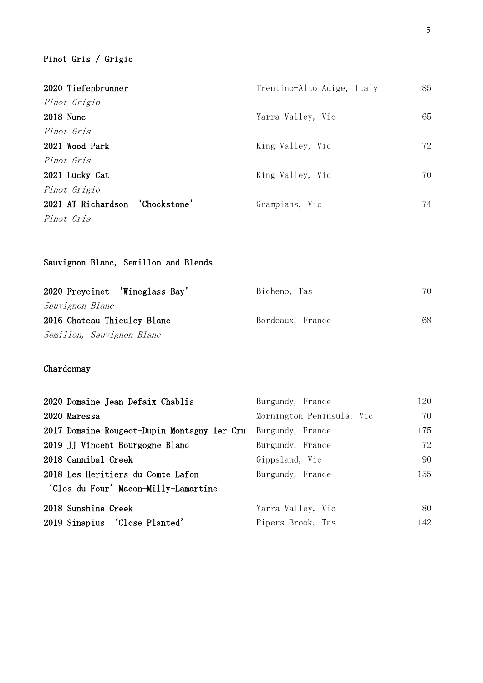# Pinot Gris / Grigio

| 2020 Tiefenbrunner              | Trentino-Alto Adige, Italy | 85 |
|---------------------------------|----------------------------|----|
| Pinot Grigio                    |                            |    |
| 2018 Nunc                       | Yarra Valley, Vic          | 65 |
| Pinot Gris                      |                            |    |
| 2021 Wood Park                  | King Valley, Vic           | 72 |
| Pinot Gris                      |                            |    |
| 2021 Lucky Cat                  | King Valley, Vic           | 70 |
| Pinot Grigio                    |                            |    |
| 2021 AT Richardson 'Chockstone' | Grampians, Vic             | 74 |
| Pinot Gris                      |                            |    |

## Sauvignon Blanc, Semillon and Blends

| 2020 Freycinet 'Wineglass Bay' | Bicheno, Tas     | 70. |
|--------------------------------|------------------|-----|
| Sauvignon Blanc                |                  |     |
| 2016 Chateau Thieuley Blanc    | Bordeaux, France | 68  |
| Semillon, Sauvignon Blanc      |                  |     |

## Chardonnay

| 2020 Domaine Jean Defaix Chablis            | Burgundy, France          | 120 |
|---------------------------------------------|---------------------------|-----|
| 2020 Maressa                                | Mornington Peninsula, Vic | 70  |
| 2017 Domaine Rougeot-Dupin Montagny 1er Cru | Burgundy, France          | 175 |
| 2019 JJ Vincent Bourgogne Blanc             | Burgundy, France          | 72  |
| 2018 Cannibal Creek                         | Gippsland, Vic            | 90  |
| 2018 Les Heritiers du Comte Lafon           | Burgundy, France          | 155 |
| 'Clos du Four' Macon-Milly-Lamartine        |                           |     |
| 2018 Sunshine Creek                         | Yarra Valley, Vic         | 80  |
| 2019 Sinapius 'Close Planted'               | Pipers Brook, Tas         | 142 |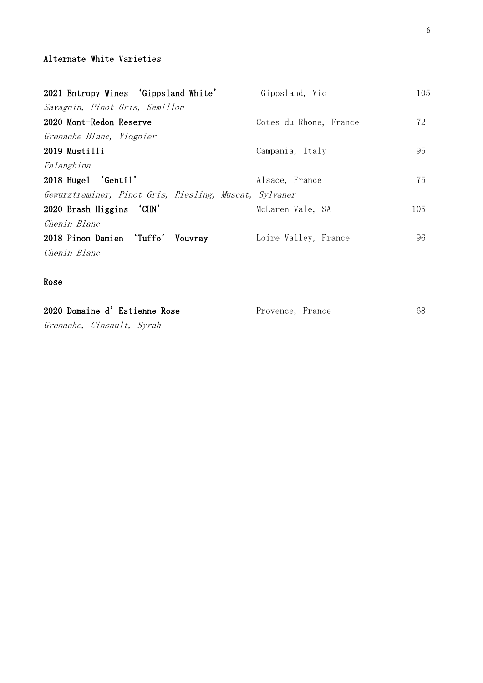#### Alternate White Varieties

| 2021 Entropy Wines 'Gippsland White'                   | Gippsland, Vic         | 105 |
|--------------------------------------------------------|------------------------|-----|
| Savagnin, Pinot Gris, Semillon                         |                        |     |
| 2020 Mont-Redon Reserve                                | Cotes du Rhone, France | 72  |
| Grenache Blanc, Viognier                               |                        |     |
| 2019 Mustilli                                          | Campania, Italy        | 95  |
| Falanghina                                             |                        |     |
| 2018 Hugel 'Gentil'                                    | Alsace, France         | 75  |
| Gewurztraminer, Pinot Gris, Riesling, Muscat, Sylvaner |                        |     |
| 2020 Brash Higgins 'CHN'                               | McLaren Vale, SA       | 105 |
| Chenin Blanc                                           |                        |     |
| 2018 Pinon Damien 'Tuffo' Vouvray                      | Loire Valley, France   | 96  |
| Chenin Blanc                                           |                        |     |

#### Rose

| 2020 Domaine d'Estienne Rose | Provence, France | 68 |
|------------------------------|------------------|----|
| Grenache, Cinsault, Syrah    |                  |    |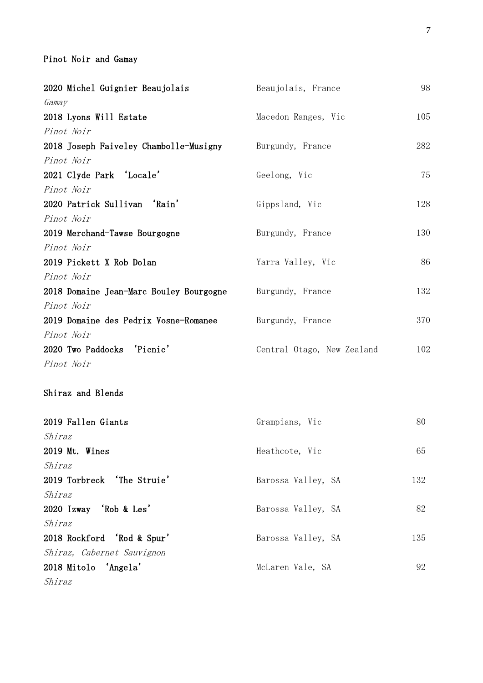## Pinot Noir and Gamay

| 2020 Michel Guignier Beaujolais         | Beaujolais, France         | 98  |
|-----------------------------------------|----------------------------|-----|
| Gamay                                   |                            |     |
| 2018 Lyons Will Estate                  | Macedon Ranges, Vic        | 105 |
| Pinot Noir                              |                            |     |
| 2018 Joseph Faiveley Chambolle-Musigny  | Burgundy, France           | 282 |
| Pinot Noir                              |                            |     |
| 2021 Clyde Park 'Locale'                | Geelong, Vic               | 75  |
| Pinot Noir                              |                            |     |
| 2020 Patrick Sullivan 'Rain'            | Gippsland, Vic             | 128 |
| Pinot Noir                              |                            |     |
| 2019 Merchand-Tawse Bourgogne           | Burgundy, France           | 130 |
| Pinot Noir                              |                            |     |
| 2019 Pickett X Rob Dolan                | Yarra Valley, Vic          | 86  |
| Pinot Noir                              |                            |     |
| 2018 Domaine Jean-Marc Bouley Bourgogne | Burgundy, France           | 132 |
| Pinot Noir                              |                            |     |
| 2019 Domaine des Pedrix Vosne-Romanee   | Burgundy, France           | 370 |
| Pinot Noir                              |                            |     |
| 2020 Two Paddocks 'Picnic'              | Central Otago, New Zealand | 102 |
| Pinot Noir                              |                            |     |
| Shiraz and Blends                       |                            |     |
| 2019 Fallen Giants                      | Grampians, Vic             | 80  |
| Shiraz                                  |                            |     |
| 2019 Mt. Wines                          | Heathcote, Vic             | 65  |
| Shiraz                                  |                            |     |
| 2019 Torbreck 'The Struie'              | Barossa Valley, SA         | 132 |
| Shiraz                                  |                            |     |
| 2020 Izway 'Rob & Les'                  | Barossa Valley, SA         | 82  |
| Shiraz                                  |                            |     |
| 2018 Rockford 'Rod & Spur'              | Barossa Valley, SA         | 135 |
| Shiraz, Cabernet Sauvignon              |                            |     |
| 2018 Mitolo 'Angela'                    | McLaren Vale, SA           | 92  |
| Shiraz                                  |                            |     |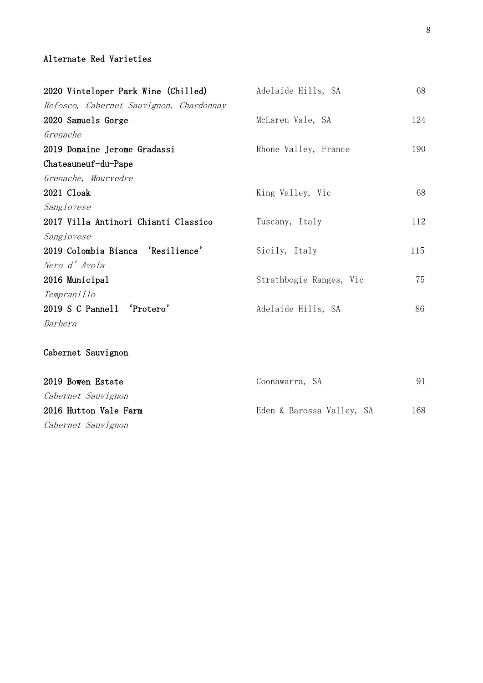#### Alternate Red Varieties

| 2020 Vinteloper Park Wine (Chilled)     | Adelaide Hills, SA      | 68  |
|-----------------------------------------|-------------------------|-----|
| Refosco, Cabernet Sauvignon, Chardonnay |                         |     |
| 2020 Samuels Gorge                      | McLaren Vale, SA        | 124 |
| Grenache                                |                         |     |
| 2019 Domaine Jerome Gradassi            | Rhone Valley, France    | 190 |
| Chateauneuf-du-Pape                     |                         |     |
| Grenache, Mourvedre                     |                         |     |
| 2021 Cloak                              | King Valley, Vic        | 68  |
| Sangiovese                              |                         |     |
| 2017 Villa Antinori Chianti Classico    | Tuscany, Italy          | 112 |
| Sangiovese                              |                         |     |
| 2019 Colombia Bianca 'Resilience'       | Sicily, Italy           | 115 |
| Nero d'Avola                            |                         |     |
| 2016 Municipal                          | Strathbogie Ranges, Vic | 75  |
| Tempranillo                             |                         |     |
| 2019 S C Pannell 'Protero'              | Adelaide Hills, SA      | 86  |
| Barbera                                 |                         |     |
|                                         |                         |     |
| Cabernet Sauvignon                      |                         |     |
|                                         |                         |     |
| 2019 Bowen Estate                       | Coonawarra, SA          | 91  |

| ZOIS DOWEN ESTATE     | COOHawaria, SA            | 211 |
|-----------------------|---------------------------|-----|
| Cabernet Sauvignon    |                           |     |
| 2016 Hutton Vale Farm | Eden & Barossa Valley, SA | 168 |
| Cabernet Sauvignon    |                           |     |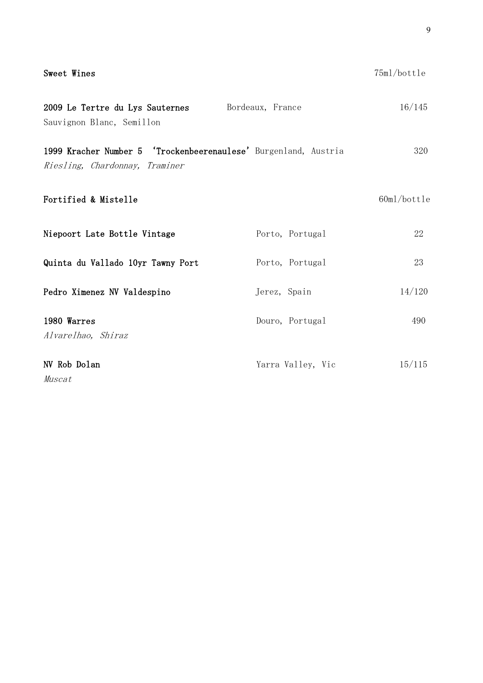| Sweet Wines                                                                                       |                   | 75ml/bottle |
|---------------------------------------------------------------------------------------------------|-------------------|-------------|
| 2009 Le Tertre du Lys Sauternes Bordeaux, France<br>Sauvignon Blanc, Semillon                     |                   | 16/145      |
| 1999 Kracher Number 5 'Trockenbeerenaulese' Burgenland, Austria<br>Riesling, Chardonnay, Traminer |                   | 320         |
| Fortified & Mistelle                                                                              |                   | 60ml/bottle |
| Niepoort Late Bottle Vintage                                                                      | Porto, Portugal   | 22          |
| Quinta du Vallado 10yr Tawny Port                                                                 | Porto, Portugal   | 23          |
| Pedro Ximenez NV Valdespino                                                                       | Jerez, Spain      | 14/120      |
| 1980 Warres<br>Alvarelhao, Shiraz                                                                 | Douro, Portugal   | 490         |
| NV Rob Dolan<br>Muscat                                                                            | Yarra Valley, Vic | 15/115      |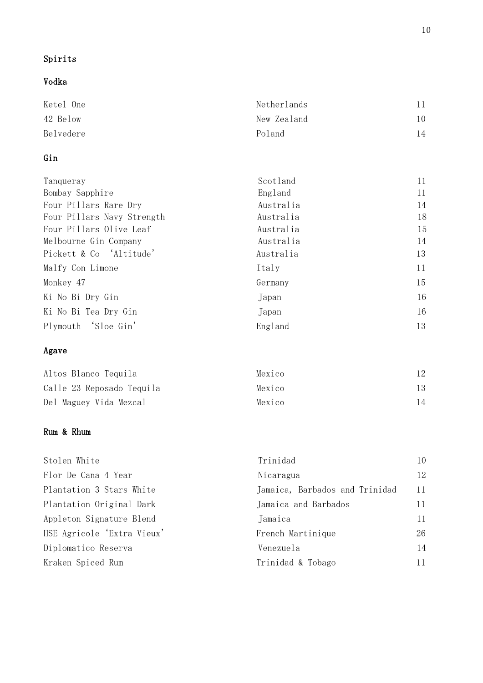# Spirits

# Vodka

| Netherlands |    |
|-------------|----|
| New Zealand | 10 |
| Poland      | 14 |
|             |    |

# Gin

| Tanqueray                  | Scotland  | 11 |
|----------------------------|-----------|----|
| Bombay Sapphire            | England   | 11 |
| Four Pillars Rare Dry      | Australia | 14 |
| Four Pillars Navy Strength | Australia | 18 |
| Four Pillars Olive Leaf    | Australia | 15 |
| Melbourne Gin Company      | Australia | 14 |
| Pickett & Co 'Altitude'    | Australia | 13 |
| Malfy Con Limone           | Italy     | 11 |
| Monkey 47                  | Germany   | 15 |
| Ki No Bi Dry Gin           | Japan     | 16 |
| Ki No Bi Tea Dry Gin       | Japan     | 16 |
| Plymouth 'Sloe Gin'        | England   | 13 |

## Agave

| Altos Blanco Tequila      | Mexico |     |
|---------------------------|--------|-----|
| Calle 23 Reposado Tequila | Mexico | 13. |
| Del Maguey Vida Mezcal    | Mexico | 14  |

#### Rum & Rhum

| Stolen White               | Trinidad                       | 10 |
|----------------------------|--------------------------------|----|
| Flor De Cana 4 Year        | Nicaragua                      | 12 |
| Plantation 3 Stars White   | Jamaica, Barbados and Trinidad | 11 |
| Plantation Original Dark   | Jamaica and Barbados           | 11 |
| Appleton Signature Blend   | Jamaica                        |    |
| HSE Agricole 'Extra Vieux' | French Martinique              | 26 |
| Diplomatico Reserva        | Venezuela                      | 14 |
| Kraken Spiced Rum          | Trinidad & Tobago              | 11 |